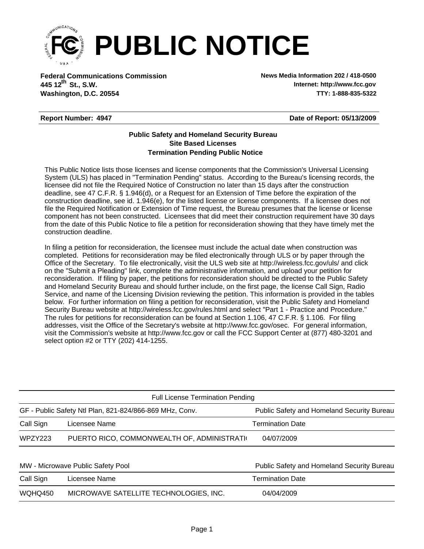

**Federal Communications Commission News Media Information 202 / 418-0500 Washington, D.C. 20554 TTY: 1-888-835-5322 445 12 St., S.W. th**

**Internet: http://www.fcc.gov**

## **Report Number: 4947**

**Date of Report: 05/13/2009**

## **Termination Pending Public Notice Site Based Licenses Public Safety and Homeland Security Bureau**

This Public Notice lists those licenses and license components that the Commission's Universal Licensing System (ULS) has placed in "Termination Pending" status. According to the Bureau's licensing records, the licensee did not file the Required Notice of Construction no later than 15 days after the construction deadline, see 47 C.F.R. § 1.946(d), or a Request for an Extension of Time before the expiration of the construction deadline, see id. 1.946(e), for the listed license or license components. If a licensee does not file the Required Notification or Extension of Time request, the Bureau presumes that the license or license component has not been constructed. Licensees that did meet their construction requirement have 30 days from the date of this Public Notice to file a petition for reconsideration showing that they have timely met the construction deadline.

In filing a petition for reconsideration, the licensee must include the actual date when construction was completed. Petitions for reconsideration may be filed electronically through ULS or by paper through the Office of the Secretary. To file electronically, visit the ULS web site at http://wireless.fcc.gov/uls/ and click on the "Submit a Pleading" link, complete the administrative information, and upload your petition for reconsideration. If filing by paper, the petitions for reconsideration should be directed to the Public Safety and Homeland Security Bureau and should further include, on the first page, the license Call Sign, Radio Service, and name of the Licensing Division reviewing the petition. This information is provided in the tables below. For further information on filing a petition for reconsideration, visit the Public Safety and Homeland Security Bureau website at http://wireless.fcc.gov/rules.html and select "Part 1 - Practice and Procedure." The rules for petitions for reconsideration can be found at Section 1.106, 47 C.F.R. § 1.106. For filing addresses, visit the Office of the Secretary's website at http://www.fcc.gov/osec. For general information, visit the Commission's website at http://www.fcc.gov or call the FCC Support Center at (877) 480-3201 and select option #2 or TTY (202) 414-1255.

| <b>Full License Termination Pending</b>                 |                                              |                                            |  |  |  |  |
|---------------------------------------------------------|----------------------------------------------|--------------------------------------------|--|--|--|--|
| GF - Public Safety Ntl Plan, 821-824/866-869 MHz, Conv. |                                              | Public Safety and Homeland Security Bureau |  |  |  |  |
| Call Sign                                               | Licensee Name                                | <b>Termination Date</b>                    |  |  |  |  |
| WPZY223                                                 | PUERTO RICO, COMMONWEALTH OF, ADMINISTRATION | 04/07/2009                                 |  |  |  |  |
|                                                         |                                              |                                            |  |  |  |  |
| MW - Microwave Public Safety Pool                       |                                              | Public Safety and Homeland Security Bureau |  |  |  |  |
| Call Sign                                               | Licensee Name                                | <b>Termination Date</b>                    |  |  |  |  |
| WQHQ450                                                 | MICROWAVE SATELLITE TECHNOLOGIES, INC.       | 04/04/2009                                 |  |  |  |  |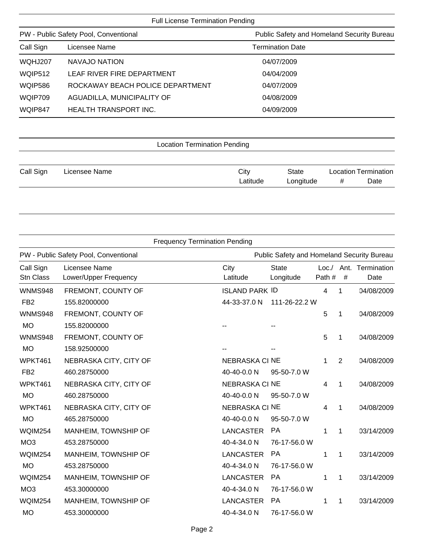## Full License Termination Pending

| PW - Public Safety Pool, Conventional |                                  | Public Safety and Homeland Security Bureau |  |  |  |  |
|---------------------------------------|----------------------------------|--------------------------------------------|--|--|--|--|
| Call Sign                             | Licensee Name                    | <b>Termination Date</b>                    |  |  |  |  |
| WQHJ207                               | NAVAJO NATION                    | 04/07/2009                                 |  |  |  |  |
| <b>WQIP512</b>                        | LEAF RIVER FIRE DEPARTMENT       | 04/04/2009                                 |  |  |  |  |
| <b>WQIP586</b>                        | ROCKAWAY BEACH POLICE DEPARTMENT | 04/07/2009                                 |  |  |  |  |
| WQIP709                               | AGUADILLA, MUNICIPALITY OF       | 04/08/2009                                 |  |  |  |  |
| WQIP847                               | <b>HEALTH TRANSPORT INC.</b>     | 04/09/2009                                 |  |  |  |  |
|                                       |                                  |                                            |  |  |  |  |

| <b>Location Termination Pending</b> |               |          |           |   |                             |  |
|-------------------------------------|---------------|----------|-----------|---|-----------------------------|--|
|                                     |               |          |           |   |                             |  |
| Call Sign                           | Licensee Name | City     | State     |   | <b>Location Termination</b> |  |
|                                     |               | Latitude | Longitude | # | Date                        |  |

| <b>Frequency Termination Pending</b> |                                        |                       |                                            |        |             |                                |  |
|--------------------------------------|----------------------------------------|-----------------------|--------------------------------------------|--------|-------------|--------------------------------|--|
|                                      | PW - Public Safety Pool, Conventional  |                       | Public Safety and Homeland Security Bureau |        |             |                                |  |
| Call Sign<br><b>Stn Class</b>        | Licensee Name<br>Lower/Upper Frequency | City<br>Latitude      | <b>State</b><br>Longitude                  | Path # | $\#$        | Loc./ Ant. Termination<br>Date |  |
| <b>WNMS948</b>                       | FREMONT, COUNTY OF                     | <b>ISLAND PARK ID</b> |                                            | 4      | 1           | 04/08/2009                     |  |
| FB <sub>2</sub>                      | 155.82000000                           | 44-33-37.0 N          | 111-26-22.2 W                              |        |             |                                |  |
| <b>WNMS948</b>                       | FREMONT, COUNTY OF                     |                       |                                            | 5      | 1           | 04/08/2009                     |  |
| <b>MO</b>                            | 155.82000000                           |                       |                                            |        |             |                                |  |
| <b>WNMS948</b>                       | FREMONT, COUNTY OF                     |                       |                                            | 5      | 1           | 04/08/2009                     |  |
| <b>MO</b>                            | 158.92500000                           |                       |                                            |        |             |                                |  |
| WPKT461                              | NEBRASKA CITY, CITY OF                 | <b>NEBRASKA CI NE</b> |                                            | 1      | 2           | 04/08/2009                     |  |
| FB <sub>2</sub>                      | 460.28750000                           | 40-40-0.0 N           | 95-50-7.0 W                                |        |             |                                |  |
| WPKT461                              | NEBRASKA CITY, CITY OF                 | <b>NEBRASKA CI NE</b> |                                            | 4      | 1           | 04/08/2009                     |  |
| <b>MO</b>                            | 460.28750000                           | 40-40-0.0 N           | 95-50-7.0 W                                |        |             |                                |  |
| WPKT461                              | NEBRASKA CITY, CITY OF                 | <b>NEBRASKA CI NE</b> |                                            | 4      | 1           | 04/08/2009                     |  |
| <b>MO</b>                            | 465.28750000                           | 40-40-0.0 N           | 95-50-7.0 W                                |        |             |                                |  |
| <b>WQIM254</b>                       | MANHEIM, TOWNSHIP OF                   | <b>LANCASTER</b>      | <b>PA</b>                                  | 1      | $\mathbf 1$ | 03/14/2009                     |  |
| MO <sub>3</sub>                      | 453.28750000                           | 40-4-34.0 N           | 76-17-56.0 W                               |        |             |                                |  |
| <b>WQIM254</b>                       | MANHEIM, TOWNSHIP OF                   | <b>LANCASTER</b>      | <b>PA</b>                                  | 1      | $\mathbf 1$ | 03/14/2009                     |  |
| <b>MO</b>                            | 453.28750000                           | 40-4-34.0 N           | 76-17-56.0 W                               |        |             |                                |  |
| <b>WQIM254</b>                       | MANHEIM, TOWNSHIP OF                   | <b>LANCASTER</b>      | <b>PA</b>                                  | 1      | 1           | 03/14/2009                     |  |
| MO <sub>3</sub>                      | 453.30000000                           | 40-4-34.0 N           | 76-17-56.0 W                               |        |             |                                |  |
| <b>WQIM254</b>                       | MANHEIM, TOWNSHIP OF                   | <b>LANCASTER</b>      | <b>PA</b>                                  | 1      | 1           | 03/14/2009                     |  |
| <b>MO</b>                            | 453.30000000                           | 40-4-34.0 N           | 76-17-56.0 W                               |        |             |                                |  |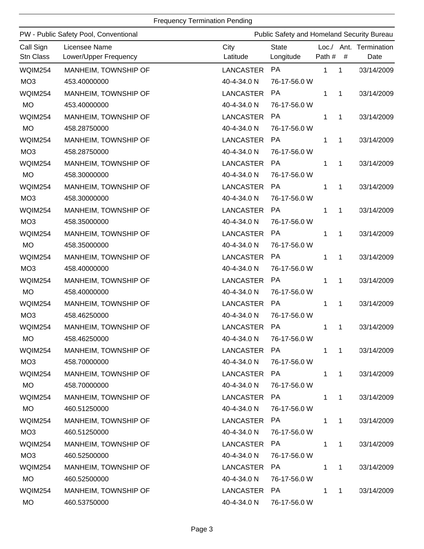## Frequency Termination Pending

| PW - Public Safety Pool, Conventional |                                        |                  | Public Safety and Homeland Security Bureau |             |              |                                |  |
|---------------------------------------|----------------------------------------|------------------|--------------------------------------------|-------------|--------------|--------------------------------|--|
| Call Sign<br>Stn Class                | Licensee Name<br>Lower/Upper Frequency | City<br>Latitude | <b>State</b><br>Longitude                  | Path #      | #            | Loc./ Ant. Termination<br>Date |  |
| WQIM254                               | MANHEIM, TOWNSHIP OF                   | <b>LANCASTER</b> | PA                                         | 1           | 1            | 03/14/2009                     |  |
| MO <sub>3</sub>                       | 453.40000000                           | 40-4-34.0 N      | 76-17-56.0 W                               |             |              |                                |  |
| WQIM254                               | MANHEIM, TOWNSHIP OF                   | <b>LANCASTER</b> | <b>PA</b>                                  | 1           | 1            | 03/14/2009                     |  |
| <b>MO</b>                             | 453.40000000                           | 40-4-34.0 N      | 76-17-56.0 W                               |             |              |                                |  |
| <b>WQIM254</b>                        | MANHEIM, TOWNSHIP OF                   | <b>LANCASTER</b> | <b>PA</b>                                  | 1           | 1            | 03/14/2009                     |  |
| <b>MO</b>                             | 458.28750000                           | 40-4-34.0 N      | 76-17-56.0 W                               |             |              |                                |  |
| <b>WQIM254</b>                        | MANHEIM, TOWNSHIP OF                   | LANCASTER        | <b>PA</b>                                  | 1           | 1            | 03/14/2009                     |  |
| MO <sub>3</sub>                       | 458.28750000                           | 40-4-34.0 N      | 76-17-56.0 W                               |             |              |                                |  |
| <b>WQIM254</b>                        | MANHEIM, TOWNSHIP OF                   | <b>LANCASTER</b> | <b>PA</b>                                  | 1           | 1            | 03/14/2009                     |  |
| <b>MO</b>                             | 458.30000000                           | 40-4-34.0 N      | 76-17-56.0 W                               |             |              |                                |  |
| <b>WQIM254</b>                        | MANHEIM, TOWNSHIP OF                   | LANCASTER        | <b>PA</b>                                  | 1           | 1            | 03/14/2009                     |  |
| MO <sub>3</sub>                       | 458.30000000                           | 40-4-34.0 N      | 76-17-56.0 W                               |             |              |                                |  |
| <b>WQIM254</b>                        | MANHEIM, TOWNSHIP OF                   | LANCASTER        | <b>PA</b>                                  | 1           | 1            | 03/14/2009                     |  |
| MO <sub>3</sub>                       | 458.35000000                           | 40-4-34.0 N      | 76-17-56.0 W                               |             |              |                                |  |
| WQIM254                               | MANHEIM, TOWNSHIP OF                   | LANCASTER        | <b>PA</b>                                  | 1           | 1            | 03/14/2009                     |  |
| <b>MO</b>                             | 458.35000000                           | 40-4-34.0 N      | 76-17-56.0 W                               |             |              |                                |  |
| WQIM254                               | MANHEIM, TOWNSHIP OF                   | <b>LANCASTER</b> | <b>PA</b>                                  | 1           | 1            | 03/14/2009                     |  |
| MO <sub>3</sub>                       | 458.40000000                           | 40-4-34.0 N      | 76-17-56.0 W                               |             |              |                                |  |
| <b>WQIM254</b>                        | MANHEIM, TOWNSHIP OF                   | <b>LANCASTER</b> | <b>PA</b>                                  | 1           | 1            | 03/14/2009                     |  |
| <b>MO</b>                             | 458.40000000                           | 40-4-34.0 N      | 76-17-56.0 W                               |             |              |                                |  |
| <b>WQIM254</b>                        | MANHEIM, TOWNSHIP OF                   | <b>LANCASTER</b> | <b>PA</b>                                  | 1           | 1            | 03/14/2009                     |  |
| MO <sub>3</sub>                       | 458.46250000                           | 40-4-34.0 N      | 76-17-56.0 W                               |             |              |                                |  |
| <b>WQIM254</b>                        | MANHEIM, TOWNSHIP OF                   | <b>LANCASTER</b> | PA                                         | 1           | 1            | 03/14/2009                     |  |
| <b>MO</b>                             | 458.46250000                           | 40-4-34.0 N      | 76-17-56.0 W                               |             |              |                                |  |
| <b>WQIM254</b>                        | MANHEIM, TOWNSHIP OF                   | LANCASTER        | PA                                         | 1           | $\mathbf{1}$ | 03/14/2009                     |  |
| MO <sub>3</sub>                       | 458.70000000                           | 40-4-34.0 N      | 76-17-56.0 W                               |             |              |                                |  |
| WQIM254                               | MANHEIM, TOWNSHIP OF                   | LANCASTER        | PA                                         | $\mathbf 1$ | $\mathbf{1}$ | 03/14/2009                     |  |
| MO                                    | 458.70000000                           | 40-4-34.0 N      | 76-17-56.0 W                               |             |              |                                |  |
| WQIM254                               | MANHEIM, TOWNSHIP OF                   | <b>LANCASTER</b> | PA                                         | 1           | 1            | 03/14/2009                     |  |
| <b>MO</b>                             | 460.51250000                           | 40-4-34.0 N      | 76-17-56.0 W                               |             |              |                                |  |
| <b>WQIM254</b>                        | MANHEIM, TOWNSHIP OF                   | LANCASTER        | PA                                         | 1           | 1            | 03/14/2009                     |  |
| MO <sub>3</sub>                       | 460.51250000                           | 40-4-34.0 N      | 76-17-56.0 W                               |             |              |                                |  |
| WQIM254                               | MANHEIM, TOWNSHIP OF                   | <b>LANCASTER</b> | PA                                         | 1           | 1            | 03/14/2009                     |  |
| MO <sub>3</sub>                       | 460.52500000                           | 40-4-34.0 N      | 76-17-56.0 W                               |             |              |                                |  |
| WQIM254                               | MANHEIM, TOWNSHIP OF                   | LANCASTER        | PA                                         | 1           | 1            | 03/14/2009                     |  |
| <b>MO</b>                             | 460.52500000                           | 40-4-34.0 N      | 76-17-56.0 W                               |             |              |                                |  |
| WQIM254                               | MANHEIM, TOWNSHIP OF                   | LANCASTER        | PA                                         | 1           | $\mathbf{1}$ | 03/14/2009                     |  |
| MO                                    | 460.53750000                           | 40-4-34.0 N      | 76-17-56.0 W                               |             |              |                                |  |